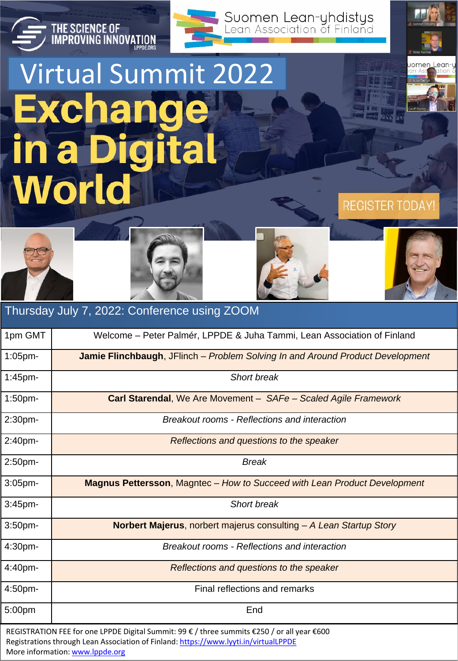

## Virtual Summit 2022**Exchange in a Digital World**

THE SCIENCE OF<br>IMPROVING INNOVATION









**REGISTER TODAY** 

## REGISTRATION FEE for one LPPDE Digital Summit: 99 € / three summits €250 / or all year €600 Registrations through Lean Association of Finland:<https://www.lyyti.in/virtualLPPDE> More information: [www.lppde.org](http://www.lppde.org/) Thursday July 7, 2022: Conference using ZOOM 1pm GMT | Welcome – Peter Palmér, LPPDE & Juha Tammi, Lean Association of Finland 1:05pm- **Jamie Flinchbaugh**, JFlinch – *Problem Solving In and Around Product Development* 1:45pm- *Short break* 1:50pm- **Carl Starendal**, We Are Movement – *SAFe – Scaled Agile Framework* 2:30pm- *Breakout rooms - Reflections and interaction* 2:40pm- *Reflections and questions to the speaker* 2:50pm- *Break* 3:05pm- **Magnus Pettersson**, Magntec – *How to Succeed with Lean Product Development* 3:45pm- *Short break* 3:50pm- **Norbert Majerus**, norbert majerus consulting – *A Lean Startup Story* 4:30pm- *Breakout rooms - Reflections and interaction* 4:40pm- *Reflections and questions to the speaker* 4:50pm- Final reflections and remarks 5:00pm End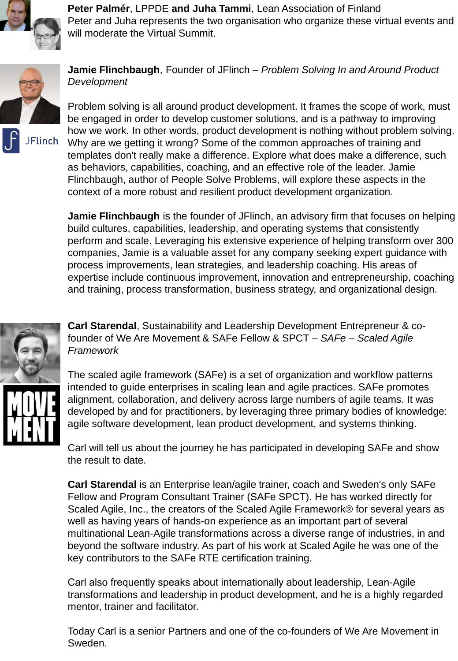

**Peter Palmér**, LPPDE **and Juha Tammi**, Lean Association of Finland Peter and Juha represents the two organisation who organize these virtual events and will moderate the Virtual Summit.



**Jamie Flinchbaugh**, Founder of JFlinch – *Problem Solving In and Around Product Development* 

Problem solving is all around product development. It frames the scope of work, must be engaged in order to develop customer solutions, and is a pathway to improving how we work. In other words, product development is nothing without problem solving. Why are we getting it wrong? Some of the common approaches of training and templates don't really make a difference. Explore what does make a difference, such as behaviors, capabilities, coaching, and an effective role of the leader. Jamie Flinchbaugh, author of People Solve Problems, will explore these aspects in the context of a more robust and resilient product development organization.

**Jamie Flinchbaugh** is the founder of JFlinch, an advisory firm that focuses on helping build cultures, capabilities, leadership, and operating systems that consistently perform and scale. Leveraging his extensive experience of helping transform over 300 companies, Jamie is a valuable asset for any company seeking expert guidance with process improvements, lean strategies, and leadership coaching. His areas of expertise include continuous improvement, innovation and entrepreneurship, coaching and training, process transformation, business strategy, and organizational design.



**Carl Starendal**, Sustainability and Leadership Development Entrepreneur & cofounder of We Are Movement & SAFe Fellow & SPCT – *SAFe – Scaled Agile Framework*

The scaled agile framework (SAFe) is a set of organization and workflow patterns intended to guide enterprises in scaling lean and agile practices. SAFe promotes alignment, collaboration, and delivery across large numbers of agile teams. It was developed by and for practitioners, by leveraging three primary bodies of knowledge: agile software development, lean product development, and systems thinking.

Carl will tell us about the journey he has participated in developing SAFe and show the result to date.

**Carl Starendal** is an Enterprise lean/agile trainer, coach and Sweden's only SAFe Fellow and Program Consultant Trainer (SAFe SPCT). He has worked directly for Scaled Agile, Inc., the creators of the Scaled Agile Framework® for several years as well as having years of hands-on experience as an important part of several multinational Lean-Agile transformations across a diverse range of industries, in and beyond the software industry. As part of his work at Scaled Agile he was one of the key contributors to the SAFe RTE certification training.

Carl also frequently speaks about internationally about leadership, Lean-Agile transformations and leadership in product development, and he is a highly regarded mentor, trainer and facilitator.

Today Carl is a senior Partners and one of the co-founders of We Are Movement in Sweden.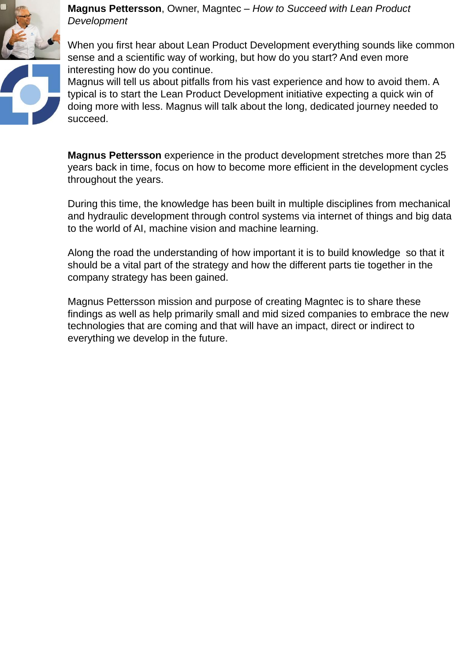

**Magnus Pettersson**, Owner, Magntec – *How to Succeed with Lean Product Development*

When you first hear about Lean Product Development everything sounds like common sense and a scientific way of working, but how do you start? And even more interesting how do you continue.

Magnus will tell us about pitfalls from his vast experience and how to avoid them. A typical is to start the Lean Product Development initiative expecting a quick win of doing more with less. Magnus will talk about the long, dedicated journey needed to succeed.

**Magnus Pettersson** experience in the product development stretches more than 25 years back in time, focus on how to become more efficient in the development cycles throughout the years.

During this time, the knowledge has been built in multiple disciplines from mechanical and hydraulic development through control systems via internet of things and big data to the world of AI, machine vision and machine learning.

Along the road the understanding of how important it is to build knowledge so that it should be a vital part of the strategy and how the different parts tie together in the company strategy has been gained.

Magnus Pettersson mission and purpose of creating Magntec is to share these findings as well as help primarily small and mid sized companies to embrace the new technologies that are coming and that will have an impact, direct or indirect to everything we develop in the future.